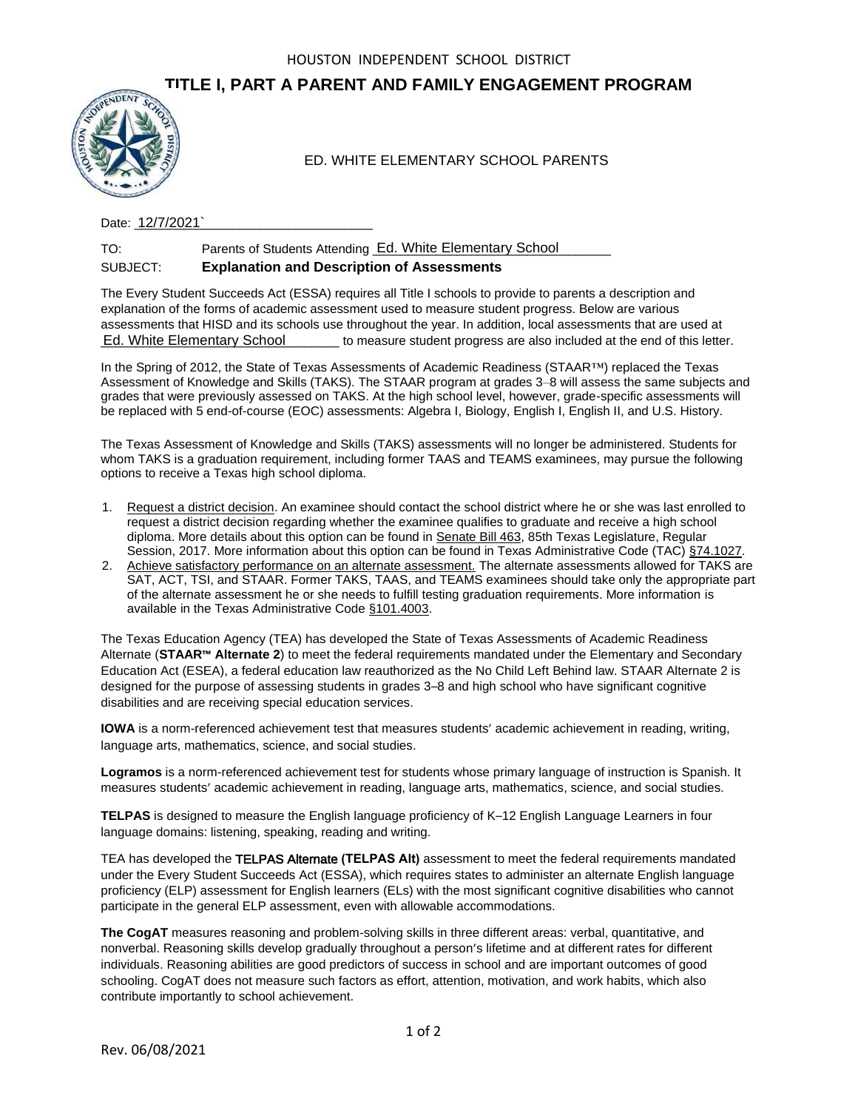## **TITLE I, PART A PARENT AND FAMILY ENGAGEMENT PROGRAM**



Date: \_\_\_\_\_\_\_\_\_\_\_\_\_\_\_\_\_\_\_\_\_\_\_\_\_\_\_\_\_\_\_\_\_\_ 12/7/2021`

TO: Parents of Students Attending Ed. White Elementary School Matter SUBJECT: **Explanation and Description of Assessments**

The Every Student Succeeds Act (ESSA) requires all Title I schools to provide to parents a description and explanation of the forms of academic assessment used to measure student progress. Below are various assessments that HISD and its schools use throughout the year. In addition, local assessments that are used at \_\_\_\_\_\_\_\_\_\_\_\_\_\_\_\_\_\_\_\_\_\_\_\_\_\_\_\_\_\_\_\_\_\_ to measure student progress are also included at the end of this letter. Ed. White Elementary School

In the Spring of 2012, the State of Texas Assessments of Academic Readiness (STAAR™) replaced the Texas Assessment of Knowledge and Skills (TAKS). The STAAR program at grades 3–8 will assess the same subjects and grades that were previously assessed on TAKS. At the high school level, however, grade-specific assessments will be replaced with 5 end-of-course (EOC) assessments: Algebra I, Biology, English I, English II, and U.S. History.

The Texas Assessment of Knowledge and Skills (TAKS) assessments will no longer be administered. Students for whom TAKS is a graduation requirement, including former TAAS and TEAMS examinees, may pursue the following options to receive a Texas high school diploma.

- 1. Request a district decision. An examinee should contact the school district where he or she was last enrolled to request a district decision regarding whether the examinee qualifies to graduate and receive a high school diploma. More details about this option can be found in Senate Bill 463, 85th Texas Legislature, Regular Session, 2017. More information about this option can be found in Texas Administrative Code (TAC) §74.1027.
- 2. Achieve satisfactory performance on an alternate assessment. The alternate assessments allowed for TAKS are SAT, ACT, TSI, and STAAR. Former TAKS, TAAS, and TEAMS examinees should take only the appropriate part of the alternate assessment he or she needs to fulfill testing graduation requirements. More information is available in the Texas Administrative Code §101.4003.

The Texas Education Agency (TEA) has developed the State of Texas Assessments of Academic Readiness Alternate (**STAAR™ Alternate 2**) to meet the federal requirements mandated under the Elementary and Secondary Education Act (ESEA), a federal education law reauthorized as the No Child Left Behind law. STAAR Alternate 2 is designed for the purpose of assessing students in grades 3–8 and high school who have significant cognitive disabilities and are receiving special education services. ED. WHITE ELEMENTARY SCHOOL PARENTS<br>
Date: 12772021<br>
Note: 12772021<br>
Date: 12772021<br>
SUB-ECT: Parents of Sludents Attending <u>Ed. White Elementlary School</u><br>
SUB-ECT: Parents of Sludents Attending and Decemberia on the Conse

**IOWA** is a norm-referenced achievement test that measures students' academic achievement in reading, writing, language arts, mathematics, science, and social studies.

**Logramos** is a norm-referenced achievement test for students whose primary language of instruction is Spanish. It measures students' academic achievement in reading, language arts, mathematics, science, and social studies.

**TELPAS** is designed to measure the English language proficiency of K–12 English Language Learners in four language domains: listening, speaking, reading and writing.

TEA has developed the TELPAS Alternate **(TELPAS Alt)** assessment to meet the federal requirements mandated under the Every Student Succeeds Act (ESSA), which requires states to administer an alternate English language proficiency (ELP) assessment for English learners (ELs) with the most significant cognitive disabilities who cannot participate in the general ELP assessment, even with allowable accommodations.

**The CogAT** measures reasoning and problem-solving skills in three different areas: verbal, quantitative, and nonverbal. Reasoning skills develop gradually throughout a person's lifetime and at different rates for different individuals. Reasoning abilities are good predictors of success in school and are important outcomes of good schooling. CogAT does not measure such factors as effort, attention, motivation, and work habits, which also contribute importantly to school achievement.